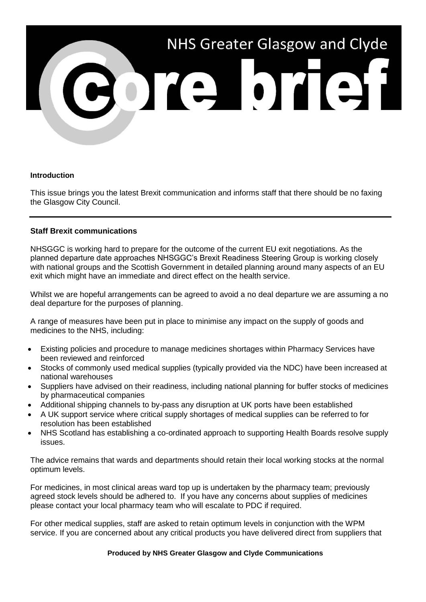

## **Introduction**

This issue brings you the latest Brexit communication and informs staff that there should be no faxing the Glasgow City Council.

## **Staff Brexit communications**

NHSGGC is working hard to prepare for the outcome of the current EU exit negotiations. As the planned departure date approaches NHSGGC's Brexit Readiness Steering Group is working closely with national groups and the Scottish Government in detailed planning around many aspects of an EU exit which might have an immediate and direct effect on the health service.

Whilst we are hopeful arrangements can be agreed to avoid a no deal departure we are assuming a no deal departure for the purposes of planning.

A range of measures have been put in place to minimise any impact on the supply of goods and medicines to the NHS, including:

- Existing policies and procedure to manage medicines shortages within Pharmacy Services have been reviewed and reinforced
- Stocks of commonly used medical supplies (typically provided via the NDC) have been increased at national warehouses
- Suppliers have advised on their readiness, including national planning for buffer stocks of medicines by pharmaceutical companies
- Additional shipping channels to by-pass any disruption at UK ports have been established
- A UK support service where critical supply shortages of medical supplies can be referred to for resolution has been established
- NHS Scotland has establishing a co-ordinated approach to supporting Health Boards resolve supply issues.

The advice remains that wards and departments should retain their local working stocks at the normal optimum levels.

For medicines, in most clinical areas ward top up is undertaken by the pharmacy team; previously agreed stock levels should be adhered to. If you have any concerns about supplies of medicines please contact your local pharmacy team who will escalate to PDC if required.

For other medical supplies, staff are asked to retain optimum levels in conjunction with the WPM service. If you are concerned about any critical products you have delivered direct from suppliers that

## **Produced by NHS Greater Glasgow and Clyde Communications**